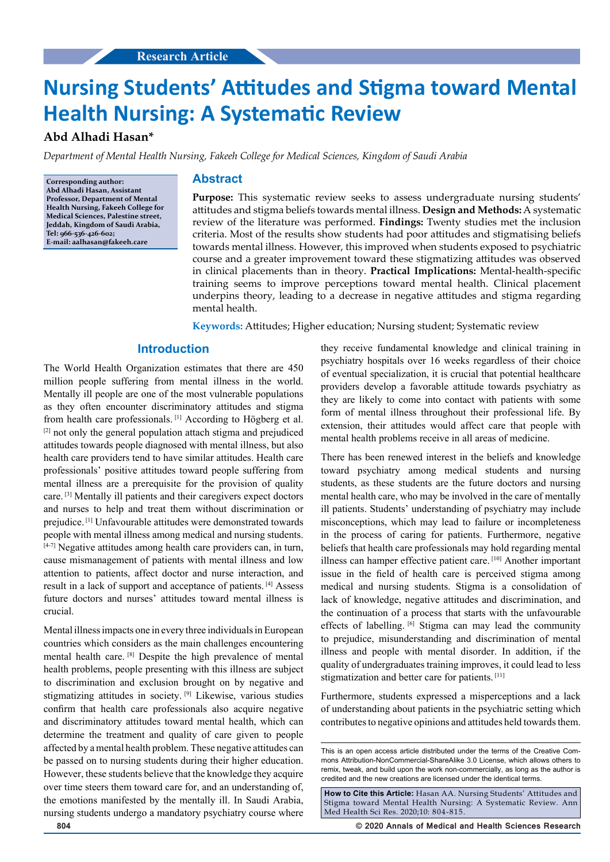# **Nursing Students' Attitudes and Stigma toward Mental Health Nursing: A Systematic Review**

# **Abd Alhadi Hasan\***

*Department of Mental Health Nursing, Fakeeh College for Medical Sciences, Kingdom of Saudi Arabia*

**Corresponding author: Abd Alhadi Hasan, Assistant Professor, Department of Mental Health Nursing, Fakeeh College for Medical Sciences, Palestine street, Jeddah, Kingdom of Saudi Arabia, Tel: 966-536-426-602; E-mail: aalhasan@fakeeh.care**

## **Abstract**

**Purpose:** This systematic review seeks to assess undergraduate nursing students' attitudes and stigma beliefs towards mental illness. **Design and Methods:** A systematic review of the literature was performed. **Findings:** Twenty studies met the inclusion criteria. Most of the results show students had poor attitudes and stigmatising beliefs towards mental illness. However, this improved when students exposed to psychiatric course and a greater improvement toward these stigmatizing attitudes was observed in clinical placements than in theory. **Practical Implications:** Mental-health-specific training seems to improve perceptions toward mental health. Clinical placement underpins theory, leading to a decrease in negative attitudes and stigma regarding mental health.

**Keywords:** Attitudes; Higher education; Nursing student; Systematic review

# **Introduction**

The World Health Organization estimates that there are 450 million people suffering from mental illness in the world. Mentally ill people are one of the most vulnerable populations as they often encounter discriminatory attitudes and stigma from health care professionals. [1] According to Högberg et al. [2] not only the general population attach stigma and prejudiced attitudes towards people diagnosed with mental illness, but also health care providers tend to have similar attitudes. Health care professionals' positive attitudes toward people suffering from mental illness are a prerequisite for the provision of quality care. [3] Mentally ill patients and their caregivers expect doctors and nurses to help and treat them without discrimination or prejudice. [1] Unfavourable attitudes were demonstrated towards people with mental illness among medical and nursing students. [4-7] Negative attitudes among health care providers can, in turn, cause mismanagement of patients with mental illness and low attention to patients, affect doctor and nurse interaction, and result in a lack of support and acceptance of patients. [4] Assess future doctors and nurses' attitudes toward mental illness is crucial.

Mental illness impacts one in every three individuals in European countries which considers as the main challenges encountering mental health care. [8] Despite the high prevalence of mental health problems, people presenting with this illness are subject to discrimination and exclusion brought on by negative and stigmatizing attitudes in society. [9] Likewise, various studies confirm that health care professionals also acquire negative and discriminatory attitudes toward mental health, which can determine the treatment and quality of care given to people affected by a mental health problem. These negative attitudes can be passed on to nursing students during their higher education. However, these students believe that the knowledge they acquire over time steers them toward care for, and an understanding of, the emotions manifested by the mentally ill. In Saudi Arabia, nursing students undergo a mandatory psychiatry course where

they receive fundamental knowledge and clinical training in psychiatry hospitals over 16 weeks regardless of their choice of eventual specialization, it is crucial that potential healthcare providers develop a favorable attitude towards psychiatry as they are likely to come into contact with patients with some form of mental illness throughout their professional life. By extension, their attitudes would affect care that people with mental health problems receive in all areas of medicine.

There has been renewed interest in the beliefs and knowledge toward psychiatry among medical students and nursing students, as these students are the future doctors and nursing mental health care, who may be involved in the care of mentally ill patients. Students' understanding of psychiatry may include misconceptions, which may lead to failure or incompleteness in the process of caring for patients. Furthermore, negative beliefs that health care professionals may hold regarding mental illness can hamper effective patient care. [10] Another important issue in the field of health care is perceived stigma among medical and nursing students. Stigma is a consolidation of lack of knowledge, negative attitudes and discrimination, and the continuation of a process that starts with the unfavourable effects of labelling. [6] Stigma can may lead the community to prejudice, misunderstanding and discrimination of mental illness and people with mental disorder. In addition, if the quality of undergraduates training improves, it could lead to less stigmatization and better care for patients.<sup>[11]</sup>

Furthermore, students expressed a misperceptions and a lack of understanding about patients in the psychiatric setting which contributes to negative opinions and attitudes held towards them.

**How to Cite this Article:** Hasan AA. Nursing Students' Attitudes and Stigma toward Mental Health Nursing: A Systematic Review. Ann Med Health Sci Res. 2020;10: 804-815.

**804 © 2020 Annals of Medical and Health Sciences Research** 

This is an open access article distributed under the terms of the Creative Commons Attribution-NonCommercial-ShareAlike 3.0 License, which allows others to remix, tweak, and build upon the work non‑commercially, as long as the author is credited and the new creations are licensed under the identical terms.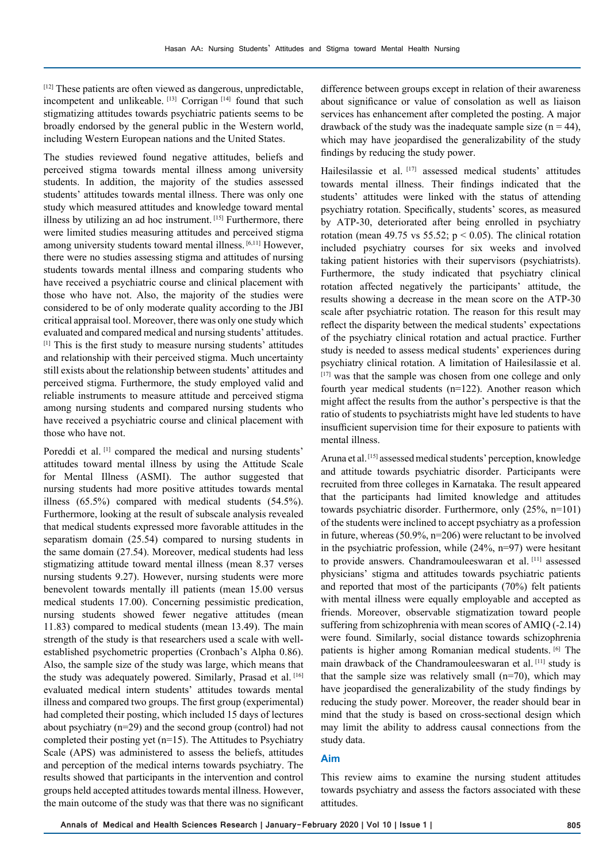[12] These patients are often viewed as dangerous, unpredictable, incompetent and unlikeable. [13] Corrigan [14] found that such stigmatizing attitudes towards psychiatric patients seems to be broadly endorsed by the general public in the Western world, including Western European nations and the United States.

The studies reviewed found negative attitudes, beliefs and perceived stigma towards mental illness among university students. In addition, the majority of the studies assessed students' attitudes towards mental illness. There was only one study which measured attitudes and knowledge toward mental illness by utilizing an ad hoc instrument. [15] Furthermore, there were limited studies measuring attitudes and perceived stigma among university students toward mental illness. [6,11] However, there were no studies assessing stigma and attitudes of nursing students towards mental illness and comparing students who have received a psychiatric course and clinical placement with those who have not. Also, the majority of the studies were considered to be of only moderate quality according to the JBI critical appraisal tool. Moreover, there was only one study which evaluated and compared medical and nursing students' attitudes. [1] This is the first study to measure nursing students' attitudes and relationship with their perceived stigma. Much uncertainty still exists about the relationship between students' attitudes and perceived stigma. Furthermore, the study employed valid and reliable instruments to measure attitude and perceived stigma among nursing students and compared nursing students who have received a psychiatric course and clinical placement with those who have not.

Poreddi et al.<sup>[1]</sup> compared the medical and nursing students' attitudes toward mental illness by using the Attitude Scale for Mental Illness (ASMI). The author suggested that nursing students had more positive attitudes towards mental illness (65.5%) compared with medical students (54.5%). Furthermore, looking at the result of subscale analysis revealed that medical students expressed more favorable attitudes in the separatism domain (25.54) compared to nursing students in the same domain (27.54). Moreover, medical students had less stigmatizing attitude toward mental illness (mean 8.37 verses nursing students 9.27). However, nursing students were more benevolent towards mentally ill patients (mean 15.00 versus medical students 17.00). Concerning pessimistic predication, nursing students showed fewer negative attitudes (mean 11.83) compared to medical students (mean 13.49). The main strength of the study is that researchers used a scale with wellestablished psychometric properties (Cronbach's Alpha 0.86). Also, the sample size of the study was large, which means that the study was adequately powered. Similarly, Prasad et al. [16] evaluated medical intern students' attitudes towards mental illness and compared two groups. The first group (experimental) had completed their posting, which included 15 days of lectures about psychiatry (n=29) and the second group (control) had not completed their posting yet (n=15). The Attitudes to Psychiatry Scale (APS) was administered to assess the beliefs, attitudes and perception of the medical interns towards psychiatry. The results showed that participants in the intervention and control groups held accepted attitudes towards mental illness. However, the main outcome of the study was that there was no significant

difference between groups except in relation of their awareness about significance or value of consolation as well as liaison services has enhancement after completed the posting. A major drawback of the study was the inadequate sample size  $(n = 44)$ , which may have jeopardised the generalizability of the study findings by reducing the study power.

Hailesilassie et al. [17] assessed medical students' attitudes towards mental illness. Their findings indicated that the students' attitudes were linked with the status of attending psychiatry rotation. Specifically, students' scores, as measured by ATP-30, deteriorated after being enrolled in psychiatry rotation (mean 49.75 vs 55.52;  $p < 0.05$ ). The clinical rotation included psychiatry courses for six weeks and involved taking patient histories with their supervisors (psychiatrists). Furthermore, the study indicated that psychiatry clinical rotation affected negatively the participants' attitude, the results showing a decrease in the mean score on the ATP-30 scale after psychiatric rotation. The reason for this result may reflect the disparity between the medical students' expectations of the psychiatry clinical rotation and actual practice. Further study is needed to assess medical students' experiences during psychiatry clinical rotation. A limitation of Hailesilassie et al. [17] was that the sample was chosen from one college and only fourth year medical students (n=122). Another reason which might affect the results from the author's perspective is that the ratio of students to psychiatrists might have led students to have insufficient supervision time for their exposure to patients with mental illness.

Aruna et al.<sup>[15]</sup> assessed medical students' perception, knowledge and attitude towards psychiatric disorder. Participants were recruited from three colleges in Karnataka. The result appeared that the participants had limited knowledge and attitudes towards psychiatric disorder. Furthermore, only (25%, n=101) of the students were inclined to accept psychiatry as a profession in future, whereas (50.9%, n=206) were reluctant to be involved in the psychiatric profession, while (24%, n=97) were hesitant to provide answers. Chandramouleeswaran et al. [11] assessed physicians' stigma and attitudes towards psychiatric patients and reported that most of the participants (70%) felt patients with mental illness were equally employable and accepted as friends. Moreover, observable stigmatization toward people suffering from schizophrenia with mean scores of AMIQ (-2.14) were found. Similarly, social distance towards schizophrenia patients is higher among Romanian medical students. [6] The main drawback of the Chandramouleeswaran et al. [11] study is that the sample size was relatively small (n=70), which may have jeopardised the generalizability of the study findings by reducing the study power. Moreover, the reader should bear in mind that the study is based on cross-sectional design which may limit the ability to address causal connections from the study data.

#### **Aim**

This review aims to examine the nursing student attitudes towards psychiatry and assess the factors associated with these attitudes.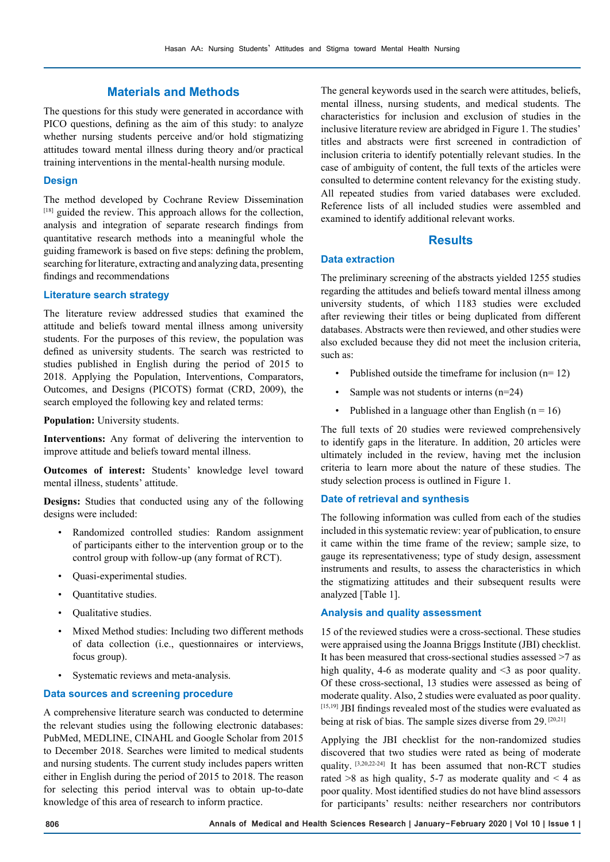# **Materials and Methods**

The questions for this study were generated in accordance with PICO questions, defining as the aim of this study: to analyze whether nursing students perceive and/or hold stigmatizing attitudes toward mental illness during theory and/or practical training interventions in the mental-health nursing module.

#### **Design**

The method developed by Cochrane Review Dissemination [18] guided the review. This approach allows for the collection, analysis and integration of separate research findings from quantitative research methods into a meaningful whole the guiding framework is based on five steps: defining the problem, searching for literature, extracting and analyzing data, presenting findings and recommendations

#### **Literature search strategy**

The literature review addressed studies that examined the attitude and beliefs toward mental illness among university students. For the purposes of this review, the population was defined as university students. The search was restricted to studies published in English during the period of 2015 to 2018. Applying the Population, Interventions, Comparators, Outcomes, and Designs (PICOTS) format (CRD, 2009), the search employed the following key and related terms:

**Population:** University students.

**Interventions:** Any format of delivering the intervention to improve attitude and beliefs toward mental illness.

**Outcomes of interest:** Students' knowledge level toward mental illness, students' attitude.

**Designs:** Studies that conducted using any of the following designs were included:

- Randomized controlled studies: Random assignment of participants either to the intervention group or to the control group with follow-up (any format of RCT).
- Quasi-experimental studies.
- Quantitative studies.
- Qualitative studies.
- Mixed Method studies: Including two different methods of data collection (i.e., questionnaires or interviews, focus group).
- Systematic reviews and meta-analysis.

#### **Data sources and screening procedure**

A comprehensive literature search was conducted to determine the relevant studies using the following electronic databases: PubMed, MEDLINE, CINAHL and Google Scholar from 2015 to December 2018. Searches were limited to medical students and nursing students. The current study includes papers written either in English during the period of 2015 to 2018. The reason for selecting this period interval was to obtain up-to-date knowledge of this area of research to inform practice.

The general keywords used in the search were attitudes, beliefs, mental illness, nursing students, and medical students. The characteristics for inclusion and exclusion of studies in the inclusive literature review are abridged in Figure 1. The studies' titles and abstracts were first screened in contradiction of inclusion criteria to identify potentially relevant studies. In the case of ambiguity of content, the full texts of the articles were consulted to determine content relevancy for the existing study. All repeated studies from varied databases were excluded. Reference lists of all included studies were assembled and examined to identify additional relevant works.

## **Results**

## **Data extraction**

The preliminary screening of the abstracts yielded 1255 studies regarding the attitudes and beliefs toward mental illness among university students, of which 1183 studies were excluded after reviewing their titles or being duplicated from different databases. Abstracts were then reviewed, and other studies were also excluded because they did not meet the inclusion criteria, such as:

- Published outside the timeframe for inclusion (n= 12)
- Sample was not students or interns (n=24)
- Published in a language other than English  $(n = 16)$

The full texts of 20 studies were reviewed comprehensively to identify gaps in the literature. In addition, 20 articles were ultimately included in the review, having met the inclusion criteria to learn more about the nature of these studies. The study selection process is outlined in Figure 1.

#### **Date of retrieval and synthesis**

The following information was culled from each of the studies included in this systematic review: year of publication, to ensure it came within the time frame of the review; sample size, to gauge its representativeness; type of study design, assessment instruments and results, to assess the characteristics in which the stigmatizing attitudes and their subsequent results were analyzed [Table 1].

### **Analysis and quality assessment**

15 of the reviewed studies were a cross-sectional. These studies were appraised using the Joanna Briggs Institute (JBI) checklist. It has been measured that cross-sectional studies assessed >7 as high quality, 4-6 as moderate quality and  $\leq$  3 as poor quality. Of these cross-sectional, 13 studies were assessed as being of moderate quality. Also, 2 studies were evaluated as poor quality. [15,19] JBI findings revealed most of the studies were evaluated as being at risk of bias. The sample sizes diverse from 29. [20,21]

Applying the JBI checklist for the non-randomized studies discovered that two studies were rated as being of moderate quality. [3,20,22-24] It has been assumed that non-RCT studies rated  $>8$  as high quality, 5-7 as moderate quality and  $< 4$  as poor quality. Most identified studies do not have blind assessors for participants' results: neither researchers nor contributors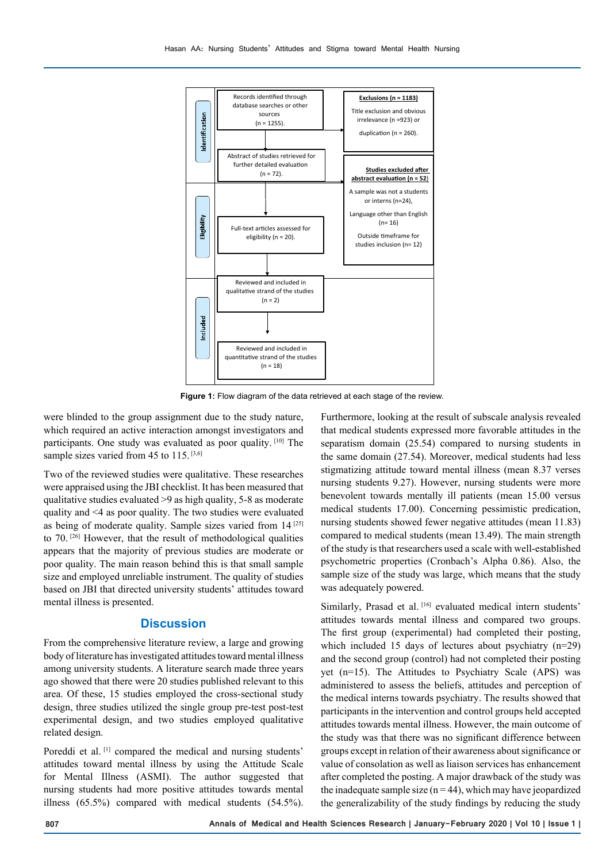

**Figure 1:** Flow diagram of the data retrieved at each stage of the review.

were blinded to the group assignment due to the study nature, which required an active interaction amongst investigators and participants. One study was evaluated as poor quality. [10] The sample sizes varied from 45 to 115.  $[3,6]$ 

Two of the reviewed studies were qualitative. These researches were appraised using the JBI checklist. It has been measured that qualitative studies evaluated >9 as high quality, 5-8 as moderate quality and <4 as poor quality. The two studies were evaluated as being of moderate quality. Sample sizes varied from  $14^{[25]}$ to 70.<sup>[26]</sup> However, that the result of methodological qualities appears that the majority of previous studies are moderate or poor quality. The main reason behind this is that small sample size and employed unreliable instrument. The quality of studies based on JBI that directed university students' attitudes toward mental illness is presented.

## **Discussion**

From the comprehensive literature review, a large and growing body of literature has investigated attitudes toward mental illness among university students. A literature search made three years ago showed that there were 20 studies published relevant to this area. Of these, 15 studies employed the cross-sectional study design, three studies utilized the single group pre-test post-test experimental design, and two studies employed qualitative related design.

Poreddi et al.<sup>[1]</sup> compared the medical and nursing students' attitudes toward mental illness by using the Attitude Scale for Mental Illness (ASMI). The author suggested that nursing students had more positive attitudes towards mental illness (65.5%) compared with medical students (54.5%).

Furthermore, looking at the result of subscale analysis revealed that medical students expressed more favorable attitudes in the separatism domain (25.54) compared to nursing students in the same domain (27.54). Moreover, medical students had less stigmatizing attitude toward mental illness (mean 8.37 verses nursing students 9.27). However, nursing students were more benevolent towards mentally ill patients (mean 15.00 versus medical students 17.00). Concerning pessimistic predication, nursing students showed fewer negative attitudes (mean 11.83) compared to medical students (mean 13.49). The main strength of the study is that researchers used a scale with well-established psychometric properties (Cronbach's Alpha 0.86). Also, the sample size of the study was large, which means that the study was adequately powered.

Similarly, Prasad et al. <a>[16]</a> evaluated medical intern students' attitudes towards mental illness and compared two groups. The first group (experimental) had completed their posting, which included 15 days of lectures about psychiatry (n=29) and the second group (control) had not completed their posting yet (n=15). The Attitudes to Psychiatry Scale (APS) was administered to assess the beliefs, attitudes and perception of the medical interns towards psychiatry. The results showed that participants in the intervention and control groups held accepted attitudes towards mental illness. However, the main outcome of the study was that there was no significant difference between groups except in relation of their awareness about significance or value of consolation as well as liaison services has enhancement after completed the posting. A major drawback of the study was the inadequate sample size  $(n = 44)$ , which may have jeopardized the generalizability of the study findings by reducing the study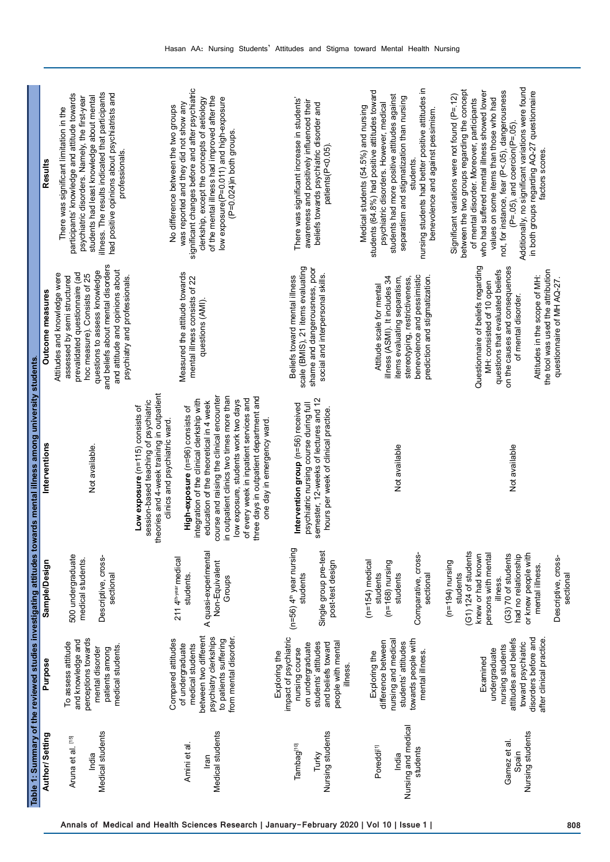|                                                                    |                                                                                                                                                                |                                                                                                                                                                                                                                           | Table 1: Summary of the reviewed studies investigating attitudes towards mental illness among university students                                                                                                                                                                                                                                                                                                                                                                                                                         |                                                                                                                                                                                                                                                                          |                                                                                                                                                                                                                                                                                                                                                                                                                                                             |
|--------------------------------------------------------------------|----------------------------------------------------------------------------------------------------------------------------------------------------------------|-------------------------------------------------------------------------------------------------------------------------------------------------------------------------------------------------------------------------------------------|-------------------------------------------------------------------------------------------------------------------------------------------------------------------------------------------------------------------------------------------------------------------------------------------------------------------------------------------------------------------------------------------------------------------------------------------------------------------------------------------------------------------------------------------|--------------------------------------------------------------------------------------------------------------------------------------------------------------------------------------------------------------------------------------------------------------------------|-------------------------------------------------------------------------------------------------------------------------------------------------------------------------------------------------------------------------------------------------------------------------------------------------------------------------------------------------------------------------------------------------------------------------------------------------------------|
| Author/Setting                                                     | Purpose                                                                                                                                                        | Sample/Design                                                                                                                                                                                                                             | Interventions                                                                                                                                                                                                                                                                                                                                                                                                                                                                                                                             | Outcome measures                                                                                                                                                                                                                                                         | Results                                                                                                                                                                                                                                                                                                                                                                                                                                                     |
| Medical students<br>Aruna et al. [15]<br>India                     | perceptions towards<br>and knowledge and<br>To assess attitude<br>medical students.<br>mental disorder<br>patients among                                       | 500 undergraduate<br>Descriptive, cross-<br>medical students.<br>sectional                                                                                                                                                                | Not available                                                                                                                                                                                                                                                                                                                                                                                                                                                                                                                             | and beliefs about mental disorders<br>and attitude and opinions about<br>questions to assess knowledge<br>prevalidated questionnaire (ad<br>Attitudes and knowledge were<br>hoc measure). Consists of 25<br>assessed by semi structured<br>psychiatry and professionals. | had positive opinions about psychiatrists and<br>illness. The results indicated that participants<br>participants' knowledge and attitude towards<br>students had least knowledge about mental<br>psychiatric disorders. Namely, the first-year<br>There was significant limitation in the<br>professionals.                                                                                                                                                |
| Medical students<br>Amini et al<br>lran                            | between two different<br>psychiatry clerkships<br>from mental disorder.<br>Compared attitudes<br>to patients suffering<br>of undergraduate<br>medical students | A quasi-experimental<br>211 4 <sup>th-year</sup> medical<br>Non-Equivalent<br>students.<br>Groups                                                                                                                                         | theories and 4-week training in outpatient<br>course and raising the clinical encounter<br>in outpatient clinics two times more than<br>three days in outpatient department and<br>of every week in inpatient services and<br>low exposure, students work two days<br>integration of the clinical clerkship with<br>session-based teaching of psychiatric<br>education of the theoretical in 4 week<br>Low exposure (n=115) consists of<br>High-exposure (n=96) consists of<br>one day in emergency ward<br>clinics and psychiatric ward. | Measured the attitude towards<br>mental illness consists of 22<br>questions (AMI).                                                                                                                                                                                       | significant changes before and after psychiatric<br>of the mental illness had improved after the<br>clerkship, except the concepts of aetiology<br>low exposure(P=0.011) and high-exposure<br>was reported and they did not show any<br>No difference between the two groups<br>(P=0.024)in both groups.                                                                                                                                                    |
| Nursing students<br>Tambag <sup>[10]</sup><br>Turky                | impact of psychiatric<br>and beliefs toward<br>people with mental<br>on undergraduate<br>students' attitudes<br>nursing course<br>Exploring the<br>illness.    | $(n=56)$ $4th$ year nursing<br>Single group pre-test<br>post-test design<br>students                                                                                                                                                      | semester, 12-weeks of lectures and 12<br>psychiatric nursing course during full<br>Intervention group (n=56) received<br>hours per week of clinical practice.                                                                                                                                                                                                                                                                                                                                                                             | scale (BMIS), 21 items evaluating<br>shame and dangerousness, poor<br>social and interpersonal skills.<br>Beliefs toward mental illness                                                                                                                                  | There was significant increase in students'<br>awareness and positively influenced their<br>beliefs towards psychiatric disorder and<br>patients(P<0.05).                                                                                                                                                                                                                                                                                                   |
| Nursing and medical<br>Poreddi <sup>[1]</sup><br>students<br>India | towards people with<br>nursing and medical<br>difference between<br>students' attitudes<br>mental illness.<br>Exploring the                                    | Comparative, cross-<br>$(n=154)$ medical<br>$(n=168)$ nursing<br>students<br>students<br>sectional                                                                                                                                        | Not available                                                                                                                                                                                                                                                                                                                                                                                                                                                                                                                             | benevolence and pessimistic<br>prediction and stigmatization.<br>items evaluating separatism,<br>illness (ASMI). It includes 34<br>stereotyping, restrictiveness,<br>Attitude scale for mental                                                                           | nursing students had better positive attitudes in<br>students (64.8%) had positive attitudes toward<br>students had more positive attitudes against<br>separatism and stigmatization than nursing<br>psychiatric disorders. However, medical<br>Medical students (54.5%) and nursing<br>benevolence and against pessimism.<br>students.                                                                                                                     |
| Nursing students<br>Gamez et al<br>Spain                           | disorders before and<br>attitudes and beliefs<br>after clinical practice<br>toward psychiatric<br>nursing students<br>undergraduate<br>Examined                | (G1) 124 of students<br>or knew people with<br>persons with mental<br>knew or had known<br>(G3) 70 of students<br>had no relationship<br>Descriptive, cross-<br>$(n=194)$ nursing<br>mental illness.<br>sectional<br>students<br>illness. | Not available                                                                                                                                                                                                                                                                                                                                                                                                                                                                                                                             | Questionnaire of beliefs regarding<br>on the causes and consequences<br>questions that evaluated beliefs<br>the tool was used the attribution<br>Attitudes in the scope of MH:<br>questionnaire of MH AQ-27.<br>MH: consisted of 10 open<br>of mental disorder.          | Additionally, no significant variations were found<br>between the two groups regarding the concept<br>not, for instance, fear (P<.05), dangerousness<br>who had suffered mental illness showed lower<br>in both groups regarding AQ-27 questionnaire<br>Significant variations were not found (P=.12)<br>values on some items than those who had<br>of mental disorder. Moreover, participants<br>$(P = 05)$ , and coercion( $P = 05$ ).<br>factors scores. |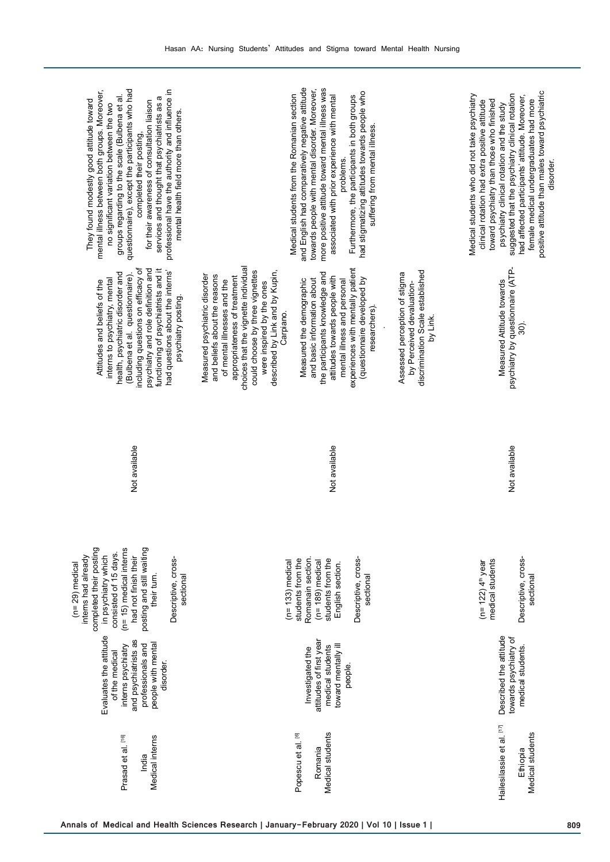| professional have the authority and influence in<br>questionnaire), except the participants who had<br>mental illness between both groups. Moreover,<br>groups regarding to the scale (Bulbena et al.<br>ā<br>They found modestly good attitude toward<br>for their awareness of consultation liaison<br>services and thought that psychiatrists as<br>no significant variation between the two<br>mental health field more than others.<br>completed their posting, | and English had comparatively negative attitude<br>more positive attitude toward mental illness was<br>towards people with mental disorder. Moreover,<br>had stigmatizing attitudes towards people who<br>Medical students from the Romanian section<br>associated with prior experience with mental<br>Furthermore, the participants in both groups<br>suffering from mental illness.<br>problems.                                                                                                                                                                                                                                                   | positive attitude than males toward psychiatric<br>suggested that the psychiatry clinical rotation<br>Medical students who did not take psychiatry<br>had affected participants' attitude. Moreover,<br>toward psychiatry than those who finished<br>female medical undergraduates had more<br>clinical rotation had extra positive attitude<br>psychiatry clinical rotation and the study<br>disorder. |
|----------------------------------------------------------------------------------------------------------------------------------------------------------------------------------------------------------------------------------------------------------------------------------------------------------------------------------------------------------------------------------------------------------------------------------------------------------------------|-------------------------------------------------------------------------------------------------------------------------------------------------------------------------------------------------------------------------------------------------------------------------------------------------------------------------------------------------------------------------------------------------------------------------------------------------------------------------------------------------------------------------------------------------------------------------------------------------------------------------------------------------------|---------------------------------------------------------------------------------------------------------------------------------------------------------------------------------------------------------------------------------------------------------------------------------------------------------------------------------------------------------------------------------------------------------|
| including questions on efficacy of<br>psychiatry and role definition and<br>functioning of psychiatrists and it<br>had questions about the interns'<br>health, psychiatric disorder and<br>(Bulbena et al. questionnaire)<br>interns to psychiatry, mental<br>Attitudes and beliefs of the<br>psychiatry posting.                                                                                                                                                    | choices that the vignette individual<br>experiences with mentally patient<br>discrimination Scale established<br>could choose by three vignettes<br>described by Link and by Kupin,<br>the participants knowledge and<br>Assessed perception of stigma<br>and beliefs about the reasons<br>Measured psychiatric disorder<br>attitudes towards people with<br>appropriateness of treatment<br>(questionnaire developed by<br>and basic information about<br>mental illness and personal<br>Measured the demographic<br>of mental illnesses and the<br>were inspired by the ones<br>by Perceived devaluation-<br>researchers).<br>Carpiano.<br>by Link. | psychiatry by questionnaire (ATP-<br>Measured Attitude towards<br>බ).                                                                                                                                                                                                                                                                                                                                   |
| Not available                                                                                                                                                                                                                                                                                                                                                                                                                                                        | Not available                                                                                                                                                                                                                                                                                                                                                                                                                                                                                                                                                                                                                                         | Not available                                                                                                                                                                                                                                                                                                                                                                                           |
| completed their posting<br>posting and still waiting<br>$(n=15)$ medical interns<br>consisted of 15 days.<br>in psychiatry which<br>had not finish their<br>interns had already<br>Descriptive, cross-<br>$(n=29)$ medical<br>sectional<br>their turn.                                                                                                                                                                                                               | Descriptive, cross-<br>Romanain section.<br>students from the<br>students from the<br>$(n=189)$ medical<br>$(n=133)$ medical<br>English section.<br>sectional                                                                                                                                                                                                                                                                                                                                                                                                                                                                                         | Descriptive, cross-<br>medical students<br>$(n=122)$ 4 <sup>th</sup> year<br>sectional                                                                                                                                                                                                                                                                                                                  |
| Evaluates the attitude<br>and psychiatrists as<br>people with mental<br>interns psychiatry<br>professionals and<br>of the medical<br>disorder.                                                                                                                                                                                                                                                                                                                       | attitudes of first year<br>toward mentally ill<br>medical students<br>Investigated the<br>people.                                                                                                                                                                                                                                                                                                                                                                                                                                                                                                                                                     | Described the attitude<br>towards psychiatry of<br>medical students                                                                                                                                                                                                                                                                                                                                     |
| Prasad et al. [16]<br>Medical interns<br>India                                                                                                                                                                                                                                                                                                                                                                                                                       | Medical students<br>Popescu et al. [6]<br>Romania                                                                                                                                                                                                                                                                                                                                                                                                                                                                                                                                                                                                     | Hailesilassie et al. [17]<br>Medical students<br>Ethiopia                                                                                                                                                                                                                                                                                                                                               |
|                                                                                                                                                                                                                                                                                                                                                                                                                                                                      | Annals of Medical and Health Sciences Research   January-February 2020   Vol 10   Issue 1                                                                                                                                                                                                                                                                                                                                                                                                                                                                                                                                                             | 809                                                                                                                                                                                                                                                                                                                                                                                                     |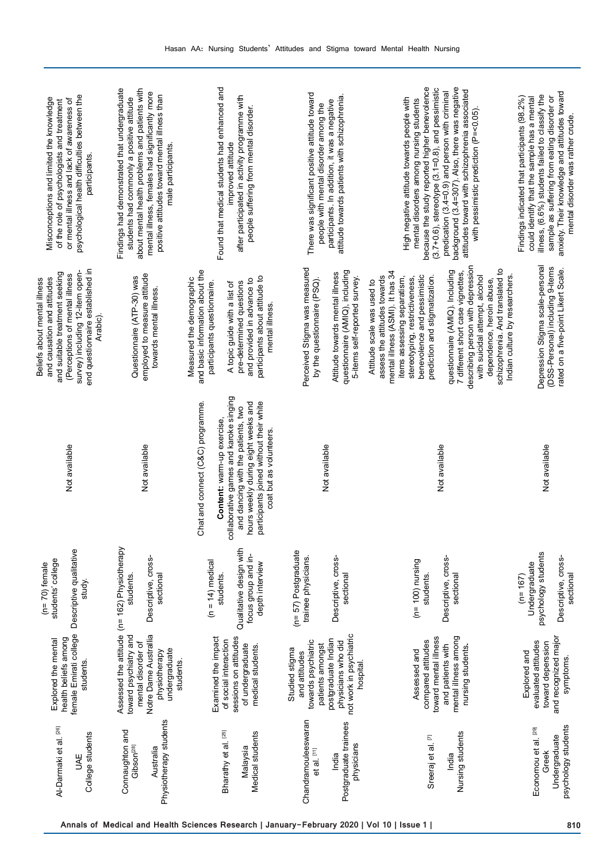| psychological health difficulties between the<br>Misconceptions and limited the knowledge<br>or mental illness and lack of awareness of<br>of the role of psychologists and treatment<br>participants.             | about mental health problems and patients with<br>Findings had demonstrated that undergraduate<br>mental illness, females had significantly more<br>positive attitudes toward mental illness than<br>students had commonly a positive attitude<br>male participants. | Found that medical students had enhanced and<br>after participated in activity programme with<br>people suffering from mental disorder.<br>improved attitude                                                                                                 | There was significant positive attitude toward<br>attitude towards patients with schizophrenia.<br>participants. In addition, it was a negative<br>people with mental disorder among the | background (3.4=307). Also, there was negative<br>because the study reported higher benevolence<br>$(3.7+0.6)$ , stereotype $(3.1=0.8)$ , and pessimistic<br>attitudes toward with schizophrenia associated<br>predication (3.4=0.9) and person with criminal<br>High negative attitude towards people with<br>mental disorders among nursing students<br>with pessimistic prediction (P=<0.05).                                                                                   | anxiety. Their knowledge and attitudes toward<br>illness, (6.6%) students failed to classify the<br>Findings indicated that participants (98.2%)<br>sample as suffering from eating disorder or<br>could identify that the sample has a mental<br>mental disorder was rather crude. |
|--------------------------------------------------------------------------------------------------------------------------------------------------------------------------------------------------------------------|----------------------------------------------------------------------------------------------------------------------------------------------------------------------------------------------------------------------------------------------------------------------|--------------------------------------------------------------------------------------------------------------------------------------------------------------------------------------------------------------------------------------------------------------|------------------------------------------------------------------------------------------------------------------------------------------------------------------------------------------|------------------------------------------------------------------------------------------------------------------------------------------------------------------------------------------------------------------------------------------------------------------------------------------------------------------------------------------------------------------------------------------------------------------------------------------------------------------------------------|-------------------------------------------------------------------------------------------------------------------------------------------------------------------------------------------------------------------------------------------------------------------------------------|
| end questionnaire established in<br>survey) including 12-item open-<br>and suitable treatment seeking<br>(Perceptions of mental illness<br>Beliefs about mental illness<br>and causation and attitudes<br>Arabic). | employed to measure attitude<br>Questionnaire (ATP-30) was<br>towards mental illness.                                                                                                                                                                                | and basic information about the<br>participants about attitude to<br>Measured the demographic<br>and provided in advance to<br>participants questionnaire.<br>pre-determined questions<br>A topic guide with a list of<br>mental illness.                    | Perceived Stigma was measured<br>questionnaire (AMIQ), including<br>Attitude towards mental illness<br>5-items self-reported survey.<br>by the questionnaire (PSQ).                      | describing person with depression<br>schizophrenia. And translated to<br>questionnaire (AMIQ). Including<br>mental illness (ASMI). It has 34<br>7 different short case vignettes,<br>benevolence and pessimistic<br>prediction and stigmatization.<br>Indian culture by researchers.<br>assess the attitudes towards<br>with suicidal attempt, alcohol<br>items assessing separatism,<br>stereotyping, restrictiveness,<br>dependence, heroin abuse,<br>Attitude scale was used to | Depression Stigma scale-personal<br>(DSS-Personal) including 9-items<br>rated on a five-point Likert Scale.                                                                                                                                                                         |
| Not available                                                                                                                                                                                                      | Not available                                                                                                                                                                                                                                                        | collaborative games and karoke singing<br>nours weekly during eight weeks and<br>participants joined without their white<br>Chat and connect (C&C) programme.<br>and dancing with the patients, two<br>Content: warm-up exercise,<br>coat but as volunteers. | Not available                                                                                                                                                                            | Not available                                                                                                                                                                                                                                                                                                                                                                                                                                                                      | Not available                                                                                                                                                                                                                                                                       |
| Descriptive qualitative<br>students' college<br>$(n=70)$ female<br>study.                                                                                                                                          | Descriptive, cross-<br>students.<br>sectional                                                                                                                                                                                                                        | Qualitative design with<br>focus group and in-<br>$(n = 14)$ medical<br>depth interview<br>students.                                                                                                                                                         | $(n=57)$ Postgraduate<br>Descriptive, cross-<br>trainee physicians.<br>sectional                                                                                                         | Descriptive, cross-<br>$(n = 100)$ nursing<br>sectional<br>students.                                                                                                                                                                                                                                                                                                                                                                                                               | psychology students<br>Descriptive, cross-<br>Undergraduate<br>sectional<br>$(n=167)$                                                                                                                                                                                               |
| female Emirati college<br>health beliefs among<br>Explored the mental<br>students.                                                                                                                                 | Assessed the attitude (n= 162) Physiotherapy<br>Notre Dame Australlia<br>toward psychiatry and<br>mental disorder of<br>undergraduate<br>physiotherapy<br>students.                                                                                                  | sessions on attitudes<br>Examined the impact<br>of social interaction<br>of undergraduate<br>medical students.                                                                                                                                               | not work in psychiatric<br>postgraduate Indian<br>physicians who did<br>towards psychiatric<br>patients amongst<br>Studied stigma<br>and attitudes<br>hospital.                          | toward mental illness<br>mental illness among<br>compared attitudes<br>and patients with<br>nursing students.<br>Assessed and                                                                                                                                                                                                                                                                                                                                                      | and recognized major<br>evaluated attitudes<br>toward deperssion<br>Explored and<br>symptoms.                                                                                                                                                                                       |
| Al-Darmaki et al. [26]<br>College students<br><b>UAE</b>                                                                                                                                                           | Physiotherapy students<br>Connaughton and<br>Gibson <sup>[28]</sup><br>Australia                                                                                                                                                                                     | [25]<br>Medical students<br>Bharathy et al.<br>Malaysia                                                                                                                                                                                                      | Chandramouleeswaran<br>Postgraduate trainees<br>physicians<br>et al. [11]<br>India                                                                                                       | Nursing students<br>Sreeraj et al. [7]<br>India                                                                                                                                                                                                                                                                                                                                                                                                                                    | psychology students<br>Economou et al. [29]<br>Undergraduate<br>Greek                                                                                                                                                                                                               |
|                                                                                                                                                                                                                    |                                                                                                                                                                                                                                                                      | Annals of Medical and Health Sciences Research   January-February 2020   Vol 10   Issue 1                                                                                                                                                                    |                                                                                                                                                                                          |                                                                                                                                                                                                                                                                                                                                                                                                                                                                                    | 810                                                                                                                                                                                                                                                                                 |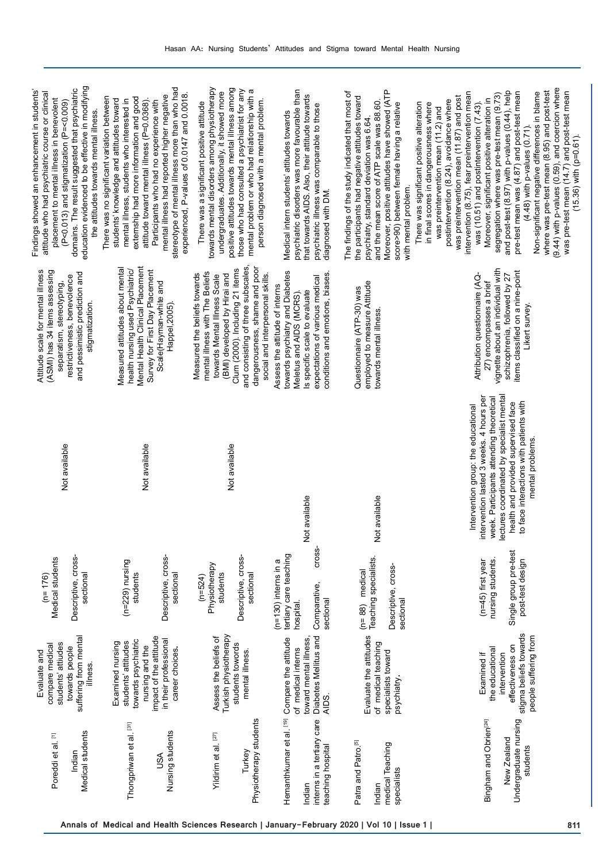| education evidenced to be effective in modifying<br>domains. The result suggested that psychiatric<br>Findings showed an enhancement in students'<br>attitude who had psychiatric course or clinical<br>placement to mental illness in benevolent<br>(P<0.013) and stigmatization (P=<0.009)<br>the attitudes towards mental illness. | stereotype of mental illness more than who had<br>experienced, P-values of 0.0147 and 0.0018.<br>mental illness had reported higher negative<br>There was no significant variation between<br>externship had more information and good<br>students' knowledge and attitudes toward<br>mental illness, students who interested in<br>attitude toward mental illness (P=0.0368).<br>Participants who had no experience with | towards mental disorders among physiotherapy<br>positive attitudes towards mental illness among<br>those who had consulted a psychiatrist for any<br>mental problem or who had relationship with a<br>undergraduates. Additionally, it showed more<br>person diagnosed with a mental problem.<br>There was a significant positive attitude | psychiatric disorders was more favourable than<br>that towards AIDS. Also, their attitude towards<br>psychiatric illness was comparable to those<br>Medical intern students' attitudes towards<br>diagnosed with DM. | Moreover, positive attitudes have showed (ATP<br>The findings of the study indicated that most of<br>the participants had negative attitudes toward<br>and the mean score of ATP scale was 88.60.<br>score>90) between female having a relative<br>psychiatry, standard deviation was 6.64.<br>with mental problem. | (9.44) with p-values (0.59), and coercion where<br>where was pre-test mean (8.95) and post-test<br>and post-test (8.97) with p-values (0.44), help<br>was pre-test mean (14.7) and post-test mean<br>(15.36) with (p=0.61).<br>Non-significant negative differences in blame<br>pre-test mean was (4.87) and post-test mean<br>intervention (8.75), fear preintervention mean<br>segregation where was pre-test mean (9.73)<br>was preintervention mean (11.87) and post<br>Moreover, significant positive alteration in<br>postintervention (8.24), avoidance where<br>There was significant positive alteration<br>in final scores in dangerousness where<br>was (10.51) and postintervention (7.43).<br>was preintervention mean (11.2) and<br>(4.48) with p-values (0.71). |
|---------------------------------------------------------------------------------------------------------------------------------------------------------------------------------------------------------------------------------------------------------------------------------------------------------------------------------------|---------------------------------------------------------------------------------------------------------------------------------------------------------------------------------------------------------------------------------------------------------------------------------------------------------------------------------------------------------------------------------------------------------------------------|--------------------------------------------------------------------------------------------------------------------------------------------------------------------------------------------------------------------------------------------------------------------------------------------------------------------------------------------|----------------------------------------------------------------------------------------------------------------------------------------------------------------------------------------------------------------------|---------------------------------------------------------------------------------------------------------------------------------------------------------------------------------------------------------------------------------------------------------------------------------------------------------------------|--------------------------------------------------------------------------------------------------------------------------------------------------------------------------------------------------------------------------------------------------------------------------------------------------------------------------------------------------------------------------------------------------------------------------------------------------------------------------------------------------------------------------------------------------------------------------------------------------------------------------------------------------------------------------------------------------------------------------------------------------------------------------------|
| Attitude scale for mental illness<br>(ASMI) has 34 items assessing<br>and pessimistic prediction and<br>restrictiveness, benevolence<br>separatism, stereotyping,<br>stigmatization.                                                                                                                                                  | Mental Health Clinical Placement<br>Measured attitudes about mental<br>health nursing used Psychiatric/<br>Survey for First Day Placement<br>Scale(Hayman-white and<br>Happel, 2005).                                                                                                                                                                                                                                     | and consisting of three subscales,<br>dangerousness, shame and poor<br>Clum (2000). Including 21 items<br>mental illness with The Beliefs<br>Measured the beliefs towards<br>social and interpersonal skills.<br>(BMI) developed by Hirai and<br>towards Mental Illness Scale                                                              | towards psychiatry and Diabetes<br>conditions and emotions, biases<br>expectations of various medical<br>Assess the attitude of interns<br>is specific scale to evaluate<br>Meletus and AIDS (MCRS).                 | employed to measure Attitude<br>Questionnaire (ATP-30) was<br>towards mental illness.                                                                                                                                                                                                                               | vignette about an individual with<br>items classified on a nine-point<br>schizophrenia, followed by 27<br>Attribution questionnaire (AQ-<br>27) encompasses a brief<br>Likert survey.                                                                                                                                                                                                                                                                                                                                                                                                                                                                                                                                                                                          |
| Not available                                                                                                                                                                                                                                                                                                                         | Not available                                                                                                                                                                                                                                                                                                                                                                                                             | Not available                                                                                                                                                                                                                                                                                                                              | Not available                                                                                                                                                                                                        | Not available                                                                                                                                                                                                                                                                                                       | lectures coordinated by specialist mental<br>intervention lasted 3 weeks. 4 hours per<br>week. Participants attending theoretical<br>to face interactions with patients with<br>health and provided supervised face<br>Intervention group: the educational<br>mental problems.                                                                                                                                                                                                                                                                                                                                                                                                                                                                                                 |
| Descriptive, cross-<br>Medical students<br>sectional<br>$(n=176)$                                                                                                                                                                                                                                                                     | Descriptive, cross-<br>$(n=229)$ nursing<br>students<br>sectional                                                                                                                                                                                                                                                                                                                                                         | Descriptive, cross-<br>Physiotherapy<br>students<br>sectional<br>$(n=524)$                                                                                                                                                                                                                                                                 | cross-<br>tertiary care teaching<br>ω<br>$(n=130)$ interns in<br>Comparative,<br>sectional<br>hospital.                                                                                                              | Teaching specialists.<br>Descriptive, cross-<br>medical<br>sectional<br>$(n=88)$                                                                                                                                                                                                                                    | Single group pre-test<br>nursing students.<br>post-test design<br>$(n=45)$ first year                                                                                                                                                                                                                                                                                                                                                                                                                                                                                                                                                                                                                                                                                          |
| suffering from mental<br>students' attiudes<br>compare medical<br>towards people<br>Evaluate and<br>illness.                                                                                                                                                                                                                          | impact of the attitude<br>in their professional<br>towards psychiatric<br>students' attitudes<br>Examined nursing<br>nursing and the<br>career choices.                                                                                                                                                                                                                                                                   | Turkish physiotherapy<br>Assess the beliefs of<br>students towords<br>mental illness.                                                                                                                                                                                                                                                      | Diabetes Mellitus and<br>Compare the attitude<br>toward mental illness,<br>of medical interns<br>AIDS.                                                                                                               | Evaluate the attitudes<br>of medical teaching<br>specialists toward<br>psychiatry.                                                                                                                                                                                                                                  | stigma beliefs towards<br>people suffering from<br>effectiveness on<br>the educational<br>Examined if<br>intervention                                                                                                                                                                                                                                                                                                                                                                                                                                                                                                                                                                                                                                                          |
| Medical students<br>Poreddi et al. [1]<br>Indian                                                                                                                                                                                                                                                                                      | Thongpriwan et al. [31]<br>Nursing students<br>JSA                                                                                                                                                                                                                                                                                                                                                                        | Physiotherapy students<br>Yildirim et al. [27]<br>Turkey                                                                                                                                                                                                                                                                                   | Hemanthkumar et al. [19]<br>interns in a tertiary care<br>teaching hospital<br>Indian                                                                                                                                | Patra and Patro.[5]<br>medical Teaching<br>specialists<br>Indian                                                                                                                                                                                                                                                    | Undergraduate nursing<br>Bingham and Obrien <sup>[24]</sup><br>New Zealand<br>students                                                                                                                                                                                                                                                                                                                                                                                                                                                                                                                                                                                                                                                                                         |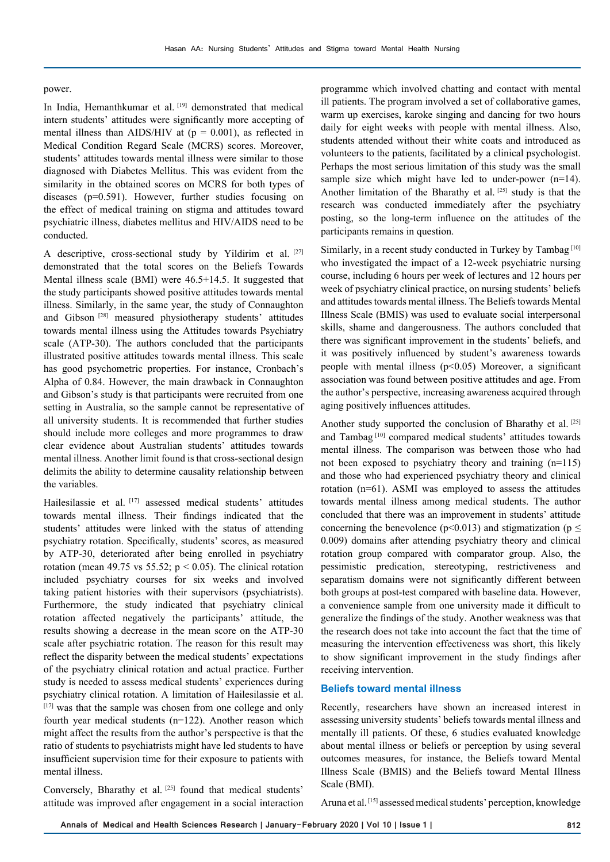#### power.

In India, Hemanthkumar et al. [19] demonstrated that medical intern students' attitudes were significantly more accepting of mental illness than AIDS/HIV at  $(p = 0.001)$ , as reflected in Medical Condition Regard Scale (MCRS) scores. Moreover, students' attitudes towards mental illness were similar to those diagnosed with Diabetes Mellitus. This was evident from the similarity in the obtained scores on MCRS for both types of diseases (p=0.591). However, further studies focusing on the effect of medical training on stigma and attitudes toward psychiatric illness, diabetes mellitus and HIV/AIDS need to be conducted.

A descriptive, cross-sectional study by Yildirim et al. [27] demonstrated that the total scores on the Beliefs Towards Mental illness scale (BMI) were 46.5+14.5. It suggested that the study participants showed positive attitudes towards mental illness. Similarly, in the same year, the study of Connaughton and Gibson [28] measured physiotherapy students' attitudes towards mental illness using the Attitudes towards Psychiatry scale (ATP-30). The authors concluded that the participants illustrated positive attitudes towards mental illness. This scale has good psychometric properties. For instance, Cronbach's Alpha of 0.84. However, the main drawback in Connaughton and Gibson's study is that participants were recruited from one setting in Australia, so the sample cannot be representative of all university students. It is recommended that further studies should include more colleges and more programmes to draw clear evidence about Australian students' attitudes towards mental illness. Another limit found is that cross-sectional design delimits the ability to determine causality relationship between the variables.

Hailesilassie et al. [17] assessed medical students' attitudes towards mental illness. Their findings indicated that the students' attitudes were linked with the status of attending psychiatry rotation. Specifically, students' scores, as measured by ATP-30, deteriorated after being enrolled in psychiatry rotation (mean 49.75 vs 55.52;  $p \le 0.05$ ). The clinical rotation included psychiatry courses for six weeks and involved taking patient histories with their supervisors (psychiatrists). Furthermore, the study indicated that psychiatry clinical rotation affected negatively the participants' attitude, the results showing a decrease in the mean score on the ATP-30 scale after psychiatric rotation. The reason for this result may reflect the disparity between the medical students' expectations of the psychiatry clinical rotation and actual practice. Further study is needed to assess medical students' experiences during psychiatry clinical rotation. A limitation of Hailesilassie et al. [17] was that the sample was chosen from one college and only fourth year medical students (n=122). Another reason which might affect the results from the author's perspective is that the ratio of students to psychiatrists might have led students to have insufficient supervision time for their exposure to patients with mental illness.

Conversely, Bharathy et al.<sup>[25]</sup> found that medical students' attitude was improved after engagement in a social interaction

programme which involved chatting and contact with mental ill patients. The program involved a set of collaborative games, warm up exercises, karoke singing and dancing for two hours daily for eight weeks with people with mental illness. Also, students attended without their white coats and introduced as volunteers to the patients, facilitated by a clinical psychologist. Perhaps the most serious limitation of this study was the small sample size which might have led to under-power (n=14). Another limitation of the Bharathy et al.  $[25]$  study is that the research was conducted immediately after the psychiatry posting, so the long-term influence on the attitudes of the participants remains in question.

Similarly, in a recent study conducted in Turkey by Tambag<sup>[10]</sup> who investigated the impact of a 12-week psychiatric nursing course, including 6 hours per week of lectures and 12 hours per week of psychiatry clinical practice, on nursing students' beliefs and attitudes towards mental illness. The Beliefs towards Mental Illness Scale (BMIS) was used to evaluate social interpersonal skills, shame and dangerousness. The authors concluded that there was significant improvement in the students' beliefs, and it was positively influenced by student's awareness towards people with mental illness (p<0.05) Moreover, a significant association was found between positive attitudes and age. From the author's perspective, increasing awareness acquired through aging positively influences attitudes.

Another study supported the conclusion of Bharathy et al. [25] and Tambag<sup>[10]</sup> compared medical students' attitudes towards mental illness. The comparison was between those who had not been exposed to psychiatry theory and training (n=115) and those who had experienced psychiatry theory and clinical rotation (n=61). ASMI was employed to assess the attitudes towards mental illness among medical students. The author concluded that there was an improvement in students' attitude concerning the benevolence ( $p$ <0.013) and stigmatization ( $p \le$ 0.009) domains after attending psychiatry theory and clinical rotation group compared with comparator group. Also, the pessimistic predication, stereotyping, restrictiveness and separatism domains were not significantly different between both groups at post-test compared with baseline data. However, a convenience sample from one university made it difficult to generalize the findings of the study. Another weakness was that the research does not take into account the fact that the time of measuring the intervention effectiveness was short, this likely to show significant improvement in the study findings after receiving intervention.

#### **Beliefs toward mental illness**

Recently, researchers have shown an increased interest in assessing university students' beliefs towards mental illness and mentally ill patients. Of these, 6 studies evaluated knowledge about mental illness or beliefs or perception by using several outcomes measures, for instance, the Beliefs toward Mental Illness Scale (BMIS) and the Beliefs toward Mental Illness Scale (BMI).

Aruna et al.<sup>[15]</sup> assessed medical students' perception, knowledge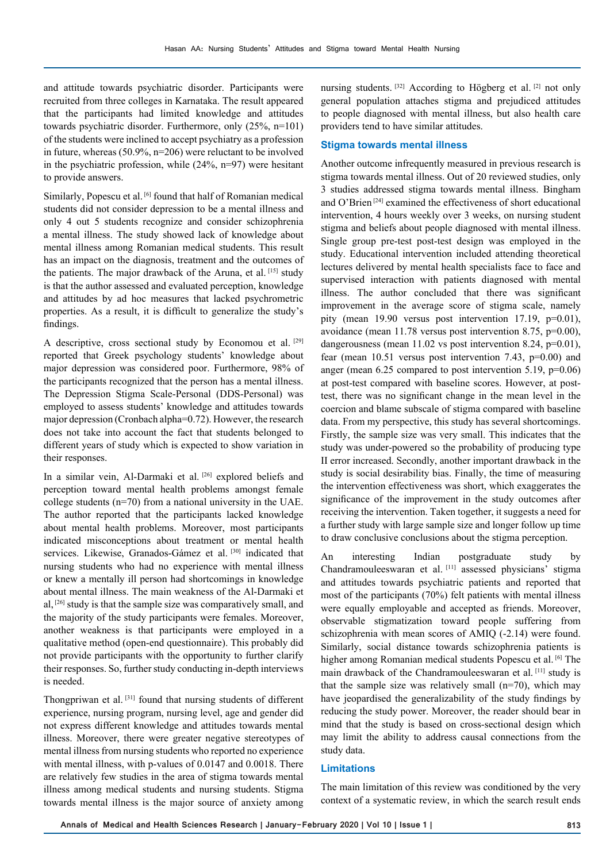and attitude towards psychiatric disorder. Participants were recruited from three colleges in Karnataka. The result appeared that the participants had limited knowledge and attitudes towards psychiatric disorder. Furthermore, only (25%, n=101) of the students were inclined to accept psychiatry as a profession in future, whereas (50.9%, n=206) were reluctant to be involved in the psychiatric profession, while (24%, n=97) were hesitant to provide answers.

Similarly, Popescu et al. [6] found that half of Romanian medical students did not consider depression to be a mental illness and only 4 out 5 students recognize and consider schizophrenia a mental illness. The study showed lack of knowledge about mental illness among Romanian medical students. This result has an impact on the diagnosis, treatment and the outcomes of the patients. The major drawback of the Aruna, et al. [15] study is that the author assessed and evaluated perception, knowledge and attitudes by ad hoc measures that lacked psychrometric properties. As a result, it is difficult to generalize the study's findings.

A descriptive, cross sectional study by Economou et al. [29] reported that Greek psychology students' knowledge about major depression was considered poor. Furthermore, 98% of the participants recognized that the person has a mental illness. The Depression Stigma Scale-Personal (DDS-Personal) was employed to assess students' knowledge and attitudes towards major depression (Cronbach alpha=0.72). However, the research does not take into account the fact that students belonged to different years of study which is expected to show variation in their responses.

In a similar vein, Al-Darmaki et al. [26] explored beliefs and perception toward mental health problems amongst female college students (n=70) from a national university in the UAE. The author reported that the participants lacked knowledge about mental health problems. Moreover, most participants indicated misconceptions about treatment or mental health services. Likewise, Granados-Gámez et al. [30] indicated that nursing students who had no experience with mental illness or knew a mentally ill person had shortcomings in knowledge about mental illness. The main weakness of the Al-Darmaki et al, [26] study is that the sample size was comparatively small, and the majority of the study participants were females. Moreover, another weakness is that participants were employed in a qualitative method (open-end questionnaire). This probably did not provide participants with the opportunity to further clarify their responses. So, further study conducting in-depth interviews is needed.

Thongpriwan et al. [31] found that nursing students of different experience, nursing program, nursing level, age and gender did not express different knowledge and attitudes towards mental illness. Moreover, there were greater negative stereotypes of mental illness from nursing students who reported no experience with mental illness, with p-values of 0.0147 and 0.0018. There are relatively few studies in the area of stigma towards mental illness among medical students and nursing students. Stigma towards mental illness is the major source of anxiety among

nursing students. [32] According to Högberg et al. [2] not only general population attaches stigma and prejudiced attitudes to people diagnosed with mental illness, but also health care providers tend to have similar attitudes.

#### **Stigma towards mental illness**

Another outcome infrequently measured in previous research is stigma towards mental illness. Out of 20 reviewed studies, only 3 studies addressed stigma towards mental illness. Bingham and O'Brien [24] examined the effectiveness of short educational intervention, 4 hours weekly over 3 weeks, on nursing student stigma and beliefs about people diagnosed with mental illness. Single group pre-test post-test design was employed in the study. Educational intervention included attending theoretical lectures delivered by mental health specialists face to face and supervised interaction with patients diagnosed with mental illness. The author concluded that there was significant improvement in the average score of stigma scale, namely pity (mean 19.90 versus post intervention 17.19, p=0.01), avoidance (mean 11.78 versus post intervention 8.75, p=0.00), dangerousness (mean  $11.02$  vs post intervention 8.24, p=0.01), fear (mean 10.51 versus post intervention 7.43, p=0.00) and anger (mean 6.25 compared to post intervention 5.19, p=0.06) at post-test compared with baseline scores. However, at posttest, there was no significant change in the mean level in the coercion and blame subscale of stigma compared with baseline data. From my perspective, this study has several shortcomings. Firstly, the sample size was very small. This indicates that the study was under-powered so the probability of producing type II error increased. Secondly, another important drawback in the study is social desirability bias. Finally, the time of measuring the intervention effectiveness was short, which exaggerates the significance of the improvement in the study outcomes after receiving the intervention. Taken together, it suggests a need for a further study with large sample size and longer follow up time to draw conclusive conclusions about the stigma perception.

An interesting Indian postgraduate study by Chandramouleeswaran et al. [11] assessed physicians' stigma and attitudes towards psychiatric patients and reported that most of the participants (70%) felt patients with mental illness were equally employable and accepted as friends. Moreover, observable stigmatization toward people suffering from schizophrenia with mean scores of AMIQ (-2.14) were found. Similarly, social distance towards schizophrenia patients is higher among Romanian medical students Popescu et al. [6] The main drawback of the Chandramouleeswaran et al. [11] study is that the sample size was relatively small  $(n=70)$ , which may have jeopardised the generalizability of the study findings by reducing the study power. Moreover, the reader should bear in mind that the study is based on cross-sectional design which may limit the ability to address causal connections from the study data.

## **Limitations**

The main limitation of this review was conditioned by the very context of a systematic review, in which the search result ends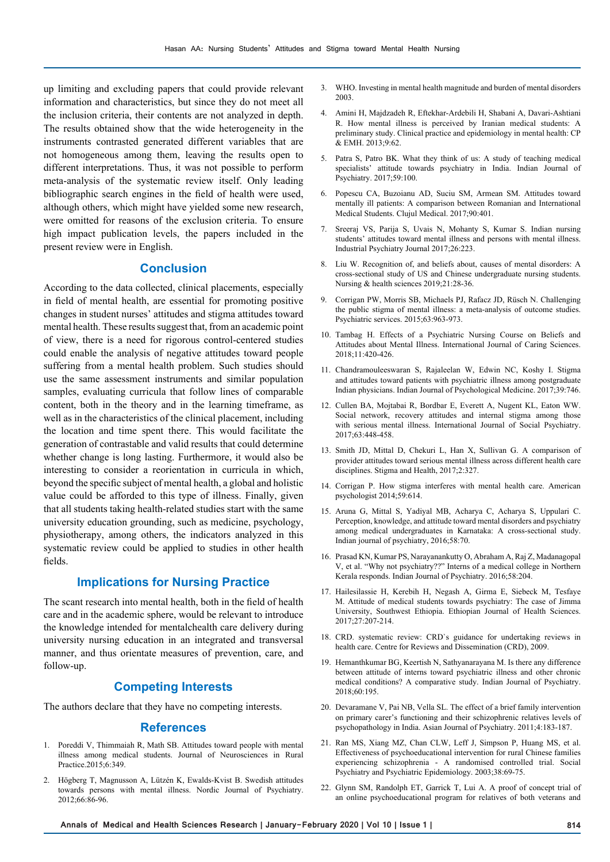up limiting and excluding papers that could provide relevant information and characteristics, but since they do not meet all the inclusion criteria, their contents are not analyzed in depth. The results obtained show that the wide heterogeneity in the instruments contrasted generated different variables that are not homogeneous among them, leaving the results open to different interpretations. Thus, it was not possible to perform meta-analysis of the systematic review itself. Only leading bibliographic search engines in the field of health were used, although others, which might have yielded some new research, were omitted for reasons of the exclusion criteria. To ensure high impact publication levels, the papers included in the present review were in English.

# **Conclusion**

According to the data collected, clinical placements, especially in field of mental health, are essential for promoting positive changes in student nurses' attitudes and stigma attitudes toward mental health. These results suggest that, from an academic point of view, there is a need for rigorous control-centered studies could enable the analysis of negative attitudes toward people suffering from a mental health problem. Such studies should use the same assessment instruments and similar population samples, evaluating curricula that follow lines of comparable content, both in the theory and in the learning timeframe, as well as in the characteristics of the clinical placement, including the location and time spent there. This would facilitate the generation of contrastable and valid results that could determine whether change is long lasting. Furthermore, it would also be interesting to consider a reorientation in curricula in which, beyond the specific subject of mental health, a global and holistic value could be afforded to this type of illness. Finally, given that all students taking health-related studies start with the same university education grounding, such as medicine, psychology, physiotherapy, among others, the indicators analyzed in this systematic review could be applied to studies in other health fields.

## **Implications for Nursing Practice**

The scant research into mental health, both in the field of health care and in the academic sphere, would be relevant to introduce the knowledge intended for mentalchealth care delivery during university nursing education in an integrated and transversal manner, and thus orientate measures of prevention, care, and follow-up.

# **Competing Interests**

The authors declare that they have no competing interests.

#### **References**

- 1. Poreddi V, Thimmaiah R, Math SB. Attitudes toward people with mental illness among medical students. Journal of Neurosciences in Rural Practice.2015;6:349.
- 2. Högberg T, Magnusson A, Lützén K, Ewalds-Kvist B. Swedish attitudes towards persons with mental illness. Nordic Journal of Psychiatry. 2012;66:86-96.
- 3. WHO. Investing in mental health magnitude and burden of mental disorders 2003.
- 4. Amini H, Majdzadeh R, Eftekhar-Ardebili H, Shabani A, Davari-Ashtiani R. How mental illness is perceived by Iranian medical students: A preliminary study. Clinical practice and epidemiology in mental health: CP & EMH. 2013;9:62.
- 5. Patra S, Patro BK. What they think of us: A study of teaching medical specialists' attitude towards psychiatry in India. Indian Journal of Psychiatry. 2017;59:100.
- 6. Popescu CA, Buzoianu AD, Suciu SM, Armean SM. Attitudes toward mentally ill patients: A comparison between Romanian and International Medical Students. Clujul Medical. 2017;90:401.
- 7. Sreeraj VS, Parija S, Uvais N, Mohanty S, Kumar S. Indian nursing students' attitudes toward mental illness and persons with mental illness. Industrial Psychiatry Journal 2017;26:223.
- 8. Liu W. Recognition of, and beliefs about, causes of mental disorders: A cross-sectional study of US and Chinese undergraduate nursing students. Nursing & health sciences 2019;21:28-36.
- 9. Corrigan PW, Morris SB, Michaels PJ, Rafacz JD, Rüsch N. Challenging the public stigma of mental illness: a meta-analysis of outcome studies. Psychiatric services. 2015;63:963-973.
- 10. Tambag H. Effects of a Psychiatric Nursing Course on Beliefs and Attitudes about Mental Illness. International Journal of Caring Sciences. 2018;11:420-426.
- 11. Chandramouleeswaran S, Rajaleelan W, Edwin NC, Koshy I. Stigma and attitudes toward patients with psychiatric illness among postgraduate Indian physicians. Indian Journal of Psychological Medicine. 2017;39:746.
- 12. Cullen BA, Mojtabai R, Bordbar E, Everett A, Nugent KL, Eaton WW. Social network, recovery attitudes and internal stigma among those with serious mental illness. International Journal of Social Psychiatry. 2017;63:448-458.
- 13. Smith JD, Mittal D, Chekuri L, Han X, Sullivan G. A comparison of provider attitudes toward serious mental illness across different health care disciplines. Stigma and Health, 2017;2:327.
- 14. Corrigan P. How stigma interferes with mental health care. American psychologist 2014;59:614.
- 15. Aruna G, Mittal S, Yadiyal MB, Acharya C, Acharya S, Uppulari C. Perception, knowledge, and attitude toward mental disorders and psychiatry among medical undergraduates in Karnataka: A cross-sectional study. Indian journal of psychiatry, 2016;58:70.
- 16. Prasad KN, Kumar PS, Narayanankutty O, Abraham A, Raj Z, Madanagopal V, et al. "Why not psychiatry??" Interns of a medical college in Northern Kerala responds. Indian Journal of Psychiatry. 2016;58:204.
- 17. Hailesilassie H, Kerebih H, Negash A, Girma E, Siebeck M, Tesfaye M. Attitude of medical students towards psychiatry: The case of Jimma University, Southwest Ethiopia. Ethiopian Journal of Health Sciences. 2017;27:207-214.
- 18. CRD. systematic review: CRD`s guidance for undertaking reviews in health care. Centre for Reviews and Dissemination (CRD), 2009.
- 19. Hemanthkumar BG, Keertish N, Sathyanarayana M. Is there any difference between attitude of interns toward psychiatric illness and other chronic medical conditions? A comparative study. Indian Journal of Psychiatry. 2018;60:195.
- 20. Devaramane V, Pai NB, Vella SL. The effect of a brief family intervention on primary carer's functioning and their schizophrenic relatives levels of psychopathology in India. Asian Journal of Psychiatry. 2011;4:183-187.
- 21. Ran MS, Xiang MZ, Chan CLW, Leff J, Simpson P, Huang MS, et al. Effectiveness of psychoeducational intervention for rural Chinese families experiencing schizophrenia - A randomised controlled trial. Social Psychiatry and Psychiatric Epidemiology. 2003;38:69-75.
- 22. Glynn SM, Randolph ET, Garrick T, Lui A. A proof of concept trial of an online psychoeducational program for relatives of both veterans and